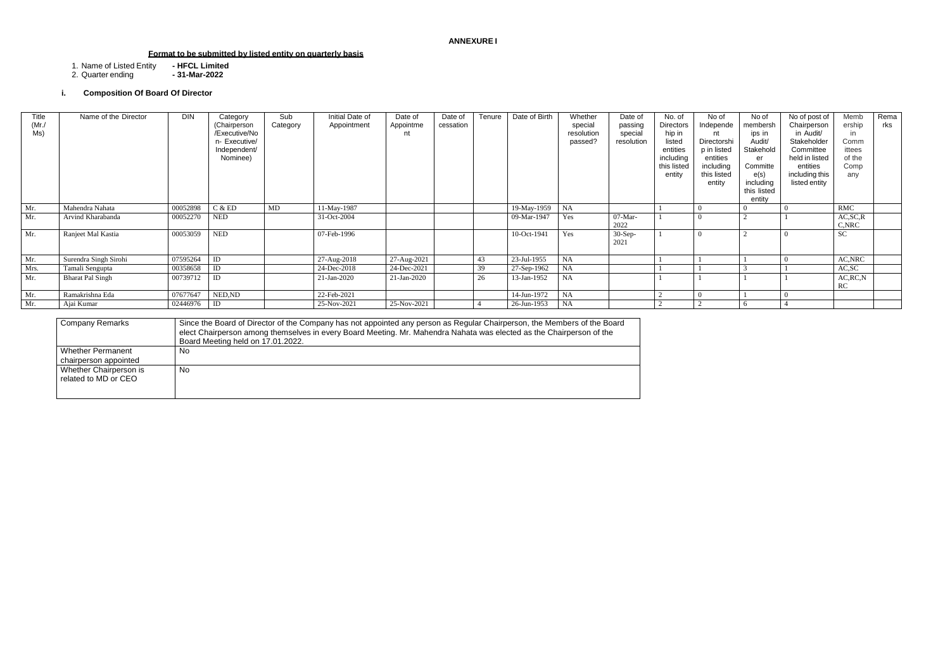## **ANNEXURE I**

# **Format to be submitted by listed entity on quarterly basis**

1. Name of Listed Entity **- HFCL Limited**

2. Quarter ending **- 31-Mar-2022**

## **i. Composition Of Board Of Director**

| <b>Company Remarks</b>                         | Since the Board of Director of the Company has not appointed any person as Regular Chairperson, the Members of the Board<br>elect Chairperson among themselves in every Board Meeting. Mr. Mahendra Nahata was elected as the Chairperson of the<br>Board Meeting held on 17.01.2022. |
|------------------------------------------------|---------------------------------------------------------------------------------------------------------------------------------------------------------------------------------------------------------------------------------------------------------------------------------------|
| Whether Permanent<br>chairperson appointed     | No                                                                                                                                                                                                                                                                                    |
| Whether Chairperson is<br>related to MD or CEO | No                                                                                                                                                                                                                                                                                    |

| Title<br>(Mr)<br>Ms) | Name of the Director    | DIN      | Category<br>(Chairperson<br>/Executive/No<br>n- Executive/<br>Independent/<br>Nominee) | Sub<br>Category | Initial Date of<br>Appointment | Date of<br>Appointme<br>nt | Date of<br>cessation | Tenure | Date of Birth | Whether<br>special<br>resolution<br>passed? | Date of<br>passing<br>special<br>resolution | No. of<br>Directors<br>hip in<br>listed<br>entities<br>including<br>this listed<br>entity | No of<br>Independe<br>nt<br>Directorshi<br>p in listed<br>entities<br>including<br>this listed<br>entity | No of<br>membersh<br>ips in<br>Audit/<br>Stakehold<br>er<br>Committe<br>e(s)<br>including<br>this listed<br>entity | No of post of<br>Chairperson<br>in Audit/<br>Stakeholder<br>Committee<br>held in listed<br>entities<br>including this<br>listed entity | Memb<br>ership<br>in<br>Comm<br>ittees<br>of the<br>Comp<br>any | Rema<br>rks |
|----------------------|-------------------------|----------|----------------------------------------------------------------------------------------|-----------------|--------------------------------|----------------------------|----------------------|--------|---------------|---------------------------------------------|---------------------------------------------|-------------------------------------------------------------------------------------------|----------------------------------------------------------------------------------------------------------|--------------------------------------------------------------------------------------------------------------------|----------------------------------------------------------------------------------------------------------------------------------------|-----------------------------------------------------------------|-------------|
| Mr.                  | Mahendra Nahata         | 00052898 | C & E D                                                                                | MD              | 11-May-1987                    |                            |                      |        | 19-May-1959   | NA                                          |                                             |                                                                                           |                                                                                                          |                                                                                                                    |                                                                                                                                        | <b>RMC</b>                                                      |             |
| Mr.                  | Arvind Kharabanda       | 00052270 | <b>NED</b>                                                                             |                 | 31-Oct-2004                    |                            |                      |        | 09-Mar-1947   | Yes                                         | $07$ -Mar-<br>2022                          |                                                                                           |                                                                                                          |                                                                                                                    |                                                                                                                                        | AC, SC, R<br>C, NRC                                             |             |
| Mr.                  | Ranjeet Mal Kastia      | 00053059 | <b>NED</b>                                                                             |                 | 07-Feb-1996                    |                            |                      |        | 10-Oct-1941   | Yes                                         | $30-Sep-$<br>2021                           |                                                                                           |                                                                                                          |                                                                                                                    |                                                                                                                                        | <b>SC</b>                                                       |             |
| Mr.                  | Surendra Singh Sirohi   | 07595264 | ID                                                                                     |                 | 27-Aug-2018                    | 27-Aug-2021                |                      | 43     | 23-Jul-1955   | NA                                          |                                             |                                                                                           |                                                                                                          |                                                                                                                    |                                                                                                                                        | AC, NRC                                                         |             |
| Mrs.                 | Tamali Sengupta         | 00358658 | ID                                                                                     |                 | 24-Dec-2018                    | 24-Dec-2021                |                      | 39     | 27-Sep-1962   | NA                                          |                                             |                                                                                           |                                                                                                          |                                                                                                                    |                                                                                                                                        | AC, SC                                                          |             |
| Mr.                  | <b>Bharat Pal Singh</b> | 00739712 | ID                                                                                     |                 | $21$ -Jan-2020                 | $21$ -Jan-2020             |                      | 26     | 13-Jan-1952   | <b>NA</b>                                   |                                             |                                                                                           |                                                                                                          |                                                                                                                    |                                                                                                                                        | AC, RC, N<br>RC                                                 |             |
| Mr.                  | Ramakrishna Eda         | 07677647 | NED, ND                                                                                |                 | 22-Feb-2021                    |                            |                      |        | 14-Jun-1972   | NA                                          |                                             | $\sim$                                                                                    |                                                                                                          |                                                                                                                    |                                                                                                                                        |                                                                 |             |
| Mr.                  | Ajai Kumar              | 02446976 | ID                                                                                     |                 | 25-Nov-2021                    | 25-Nov-2021                |                      |        | 26-Jun-1953   | NA                                          |                                             | $\sim$                                                                                    |                                                                                                          |                                                                                                                    |                                                                                                                                        |                                                                 |             |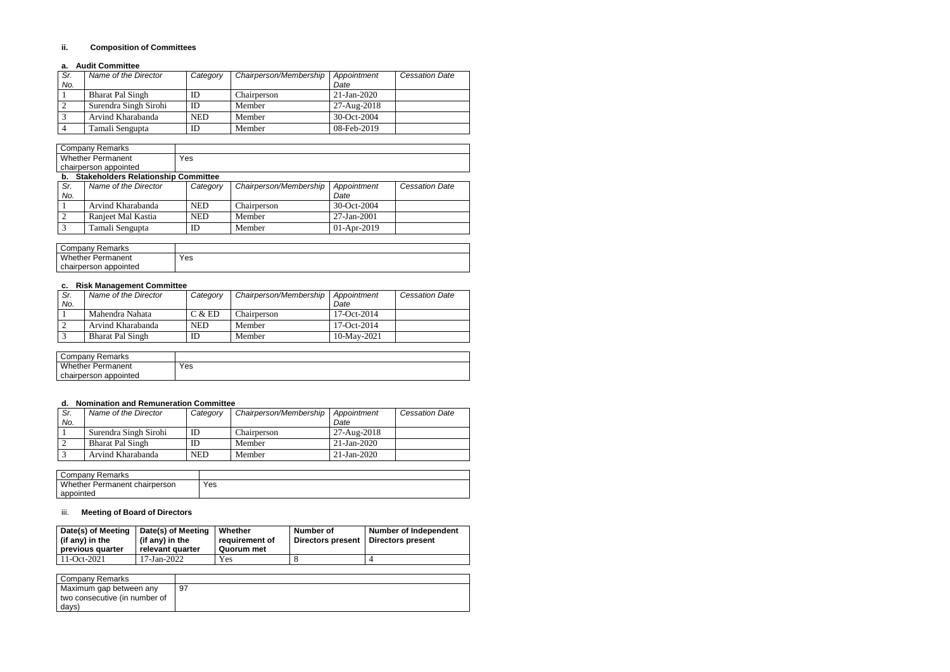### **ii. Composition of Committees**

### **a. Audit Committee**

| Sr. | Name of the Director    | Category   | Chairperson/Membership | Appointment    | <b>Cessation Date</b> |
|-----|-------------------------|------------|------------------------|----------------|-----------------------|
| No. |                         |            |                        | Date           |                       |
|     | <b>Bharat Pal Singh</b> | ΙD         | Chairperson            | $21$ -Jan-2020 |                       |
|     | Surendra Singh Sirohi   | ID         | Member                 | 27-Aug-2018    |                       |
|     | Arvind Kharabanda       | <b>NED</b> | Member                 | 30-Oct-2004    |                       |
|     | Tamali Sengupta         | ID         | Member                 | 08-Feb-2019    |                       |

| Remarks<br>Company       |     |
|--------------------------|-----|
| <b>Whether Permanent</b> | Yes |
| chairperson appointed    |     |

| b.  | <b>Stakeholders Relationship Committee</b> |            |                        |                   |                       |  |  |
|-----|--------------------------------------------|------------|------------------------|-------------------|-----------------------|--|--|
| Sr. | Name of the Director                       | Category   | Chairperson/Membership | Appointment       | <b>Cessation Date</b> |  |  |
| No. |                                            |            |                        | Date              |                       |  |  |
|     | Arvind Kharabanda                          | <b>NED</b> | Chairperson            | 30-Oct-2004       |                       |  |  |
|     | Ranjeet Mal Kastia                         | <b>NED</b> | Member                 | $27 - Jan - 2001$ |                       |  |  |
|     | Tamali Sengupta                            | ID         | Member                 | $01-Apr-2019$     |                       |  |  |

| Company Remarks          |     |
|--------------------------|-----|
| <b>Whether Permanent</b> | Yes |
| chairperson appointed    |     |

### **c. Risk Management Committee**

| Sr. | Name of the Director    | Category | Chairperson/Membership | Appointment    | <b>Cessation Date</b> |
|-----|-------------------------|----------|------------------------|----------------|-----------------------|
| No. |                         |          |                        | Date           |                       |
|     | Mahendra Nahata         | C & E D  | Chairperson            | 17-Oct-2014    |                       |
|     | Arvind Kharabanda       | NED      | Member                 | 17-Oct-2014    |                       |
|     | <b>Bharat Pal Singh</b> | ID       | Member                 | $10$ -May-2021 |                       |

| <b>Company Remarks</b>   |     |
|--------------------------|-----|
| <b>Whether Permanent</b> | Yes |
| chairperson appointed    |     |

### **d. Nomination and Remuneration Committee**

| Sr. | Name of the Director    | Category | Chairperson/Membership | Appointment    | <b>Cessation Date</b> |
|-----|-------------------------|----------|------------------------|----------------|-----------------------|
| No. |                         |          |                        | Date           |                       |
|     | Surendra Singh Sirohi   | ID       | Chairperson            | 27-Aug-2018    |                       |
|     | <b>Bharat Pal Singh</b> | ID       | Member                 | $21$ -Jan-2020 |                       |
|     | Arvind Kharabanda       | NED      | Member                 | $21$ -Jan-2020 |                       |

| Company Remarks               |     |
|-------------------------------|-----|
| Whether Permanent chairperson | Yes |
| appointed                     |     |

## iii. **Meeting of Board of Directors**

| Date(s) of Meeting<br>(if any) in the<br>previous quarter | Date(s) of Meeting<br>(if any) in the<br>relevant quarter | Whether<br>requirement of<br>Quorum met | Number of<br>Directors present   Directors present | <b>Number of Independent</b> |
|-----------------------------------------------------------|-----------------------------------------------------------|-----------------------------------------|----------------------------------------------------|------------------------------|
|                                                           |                                                           |                                         |                                                    |                              |

| <b>Company Remarks</b>        |    |
|-------------------------------|----|
| Maximum gap between any       | 97 |
| two consecutive (in number of |    |
| days)                         |    |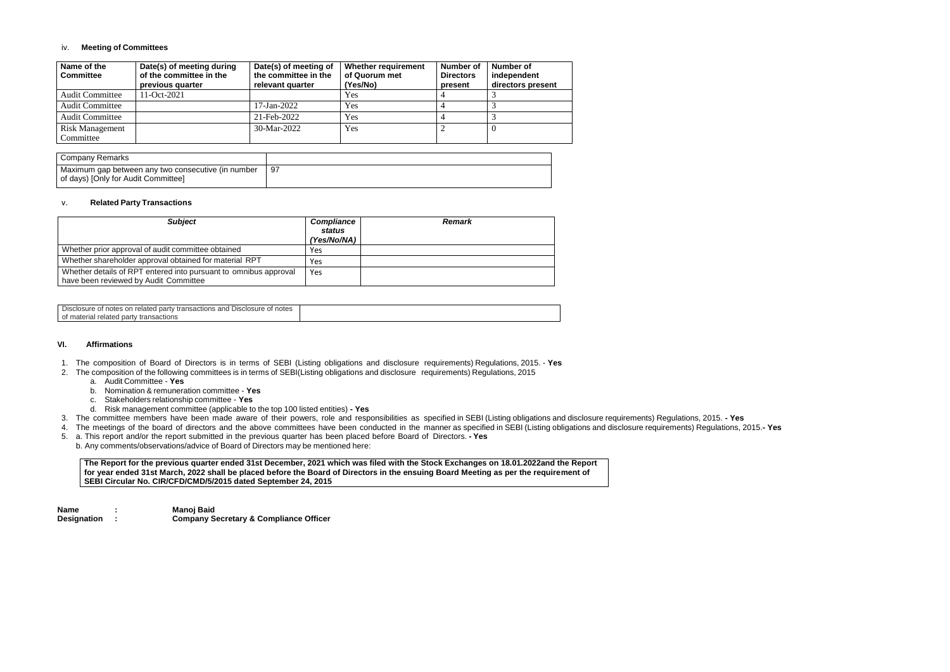### iv. **Meeting of Committees**

| Name of the<br><b>Committee</b> | Date(s) of meeting during<br>of the committee in the<br>previous quarter | Date(s) of meeting of<br>the committee in the<br>relevant quarter | <b>Whether requirement</b><br>of Quorum met<br>(Yes/No) | Number of<br><b>Directors</b><br>present | <b>Number of</b><br>independent<br>directors present |
|---------------------------------|--------------------------------------------------------------------------|-------------------------------------------------------------------|---------------------------------------------------------|------------------------------------------|------------------------------------------------------|
| <b>Audit Committee</b>          | 1-Oct-2021                                                               |                                                                   | <b>Yes</b>                                              |                                          |                                                      |
| <b>Audit Committee</b>          |                                                                          | 17-Jan-2022                                                       | Yes                                                     |                                          |                                                      |
| <b>Audit Committee</b>          |                                                                          | 21-Feb-2022                                                       | Yes                                                     |                                          |                                                      |
| <b>Risk Management</b>          |                                                                          | $30-Mar-2022$                                                     | Yes                                                     |                                          | U                                                    |
| Committee                       |                                                                          |                                                                   |                                                         |                                          |                                                      |

| Company Remarks                                                                           |     |
|-------------------------------------------------------------------------------------------|-----|
| Maximum gap between any two consecutive (in number<br>of days) [Only for Audit Committee] | -97 |

#### v. **Related Party Transactions**

| <b>Subject</b>                                                                                            | <b>Compliance</b><br>status<br>(Yes/No/NA) | <b>Remark</b> |
|-----------------------------------------------------------------------------------------------------------|--------------------------------------------|---------------|
| Whether prior approval of audit committee obtained                                                        | Yes                                        |               |
| Whether shareholder approval obtained for material RPT                                                    | Yes                                        |               |
| Whether details of RPT entered into pursuant to omnibus approval<br>have been reviewed by Audit Committee | Yes                                        |               |

| <b>Disclo</b><br>notes<br>and<br>Disclosure of<br>'osure of notes'<br>/ transactions<br>$\sim$<br>related<br>party<br>ັບເ |  |
|---------------------------------------------------------------------------------------------------------------------------|--|
| party<br>of mate<br>related<br><sup>,</sup> transactions                                                                  |  |

#### **VI. Affirmations**

- 1. The composition of Board of Directors is in terms of SEBI (Listing obligations and disclosure requirements) Regulations, 2015. **Yes**
- 2. The composition of the following committees is in terms of SEBI(Listing obligations and disclosure requirements) Regulations, 2015
	- a. Audit Committee **Yes**
	- b. Nomination & remuneration committee **Yes**
	- c. Stakeholders relationship committee **Yes**
	- d. Risk management committee (applicable to the top 100 listed entities) **- Yes**
- 3. The committee members have been made aware of their powers, role and responsibilities as specified in SEBI (Listing obligations and disclosure requirements) Regulations, 2015. **- Yes**
- 4. The meetings of the board of directors and the above committees have been conducted in the manner as specified in SEBI (Listing obligations and disclosure requirements) Regulations, 2015.**- Yes**
- 5. a. This report and/or the report submitted in the previous quarter has been placed before Board of Directors. **- Yes**
- b. Any comments/observations/advice of Board of Directors may be mentioned here:

### **The Report for the previous quarter ended 31st December, 2021 which was filed with the Stock Exchanges on 18.01.2022and the Report for year ended 31st March, 2022 shall be placed before the Board of Directors in the ensuing Board Meeting as per the requirement of SEBI Circular No. CIR/CFD/CMD/5/2015 dated September 24, 2015**

**Name : Manoj Baid Designation : Company Secretary & Compliance Officer**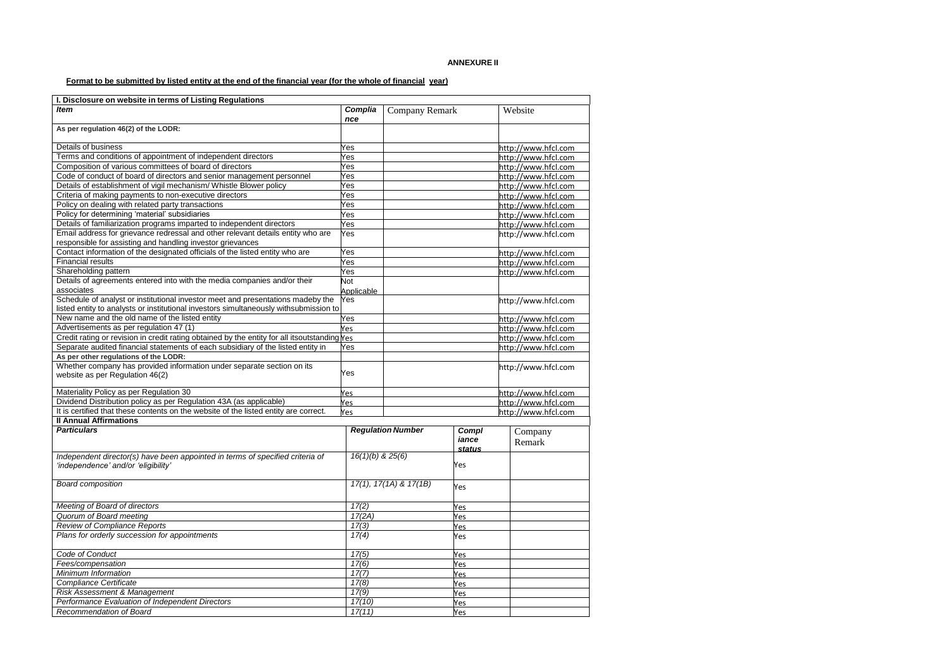# Format to be submitted by listed entity at the end of the financial year (for the whole of financial year)

| I. Disclosure on website in terms of Listing Regulations                                               |                      |                            |                      |                     |
|--------------------------------------------------------------------------------------------------------|----------------------|----------------------------|----------------------|---------------------|
| <b>Item</b>                                                                                            | Complia<br>nce       | <b>Company Remark</b>      |                      | Website             |
| As per regulation 46(2) of the LODR:                                                                   |                      |                            |                      |                     |
| Details of business                                                                                    | Yes                  |                            |                      | http://www.hfcl.com |
| Terms and conditions of appointment of independent directors                                           | Yes                  |                            |                      | http://www.hfcl.com |
| Composition of various committees of board of directors                                                | Yes                  |                            |                      | http://www.hfcl.com |
| Code of conduct of board of directors and senior management personnel                                  | Yes                  |                            |                      | http://www.hfcl.com |
| Details of establishment of vigil mechanism/ Whistle Blower policy                                     | Yes                  |                            |                      | http://www.hfcl.com |
| Criteria of making payments to non-executive directors                                                 | Yes                  |                            |                      | http://www.hfcl.com |
| Policy on dealing with related party transactions                                                      | Yes                  |                            |                      | http://www.hfcl.com |
| Policy for determining 'material' subsidiaries                                                         | Yes                  |                            |                      | http://www.hfcl.com |
| Details of familiarization programs imparted to independent directors                                  | Yes                  |                            |                      | http://www.hfcl.com |
| Email address for grievance redressal and other relevant details entity who are                        | Yes                  |                            |                      | http://www.hfcl.com |
| responsible for assisting and handling investor grievances                                             |                      |                            |                      |                     |
| Contact information of the designated officials of the listed entity who are                           | Yes                  |                            |                      | http://www.hfcl.com |
| <b>Financial results</b>                                                                               | Yes                  |                            |                      | http://www.hfcl.com |
| Shareholding pattern                                                                                   | Yes                  |                            |                      | http://www.hfcl.com |
| Details of agreements entered into with the media companies and/or their                               | <b>Not</b>           |                            |                      |                     |
| associates                                                                                             | Applicable           |                            |                      |                     |
| Schedule of analyst or institutional investor meet and presentations madeby the                        | Yes                  |                            |                      | http://www.hfcl.com |
| listed entity to analysts or institutional investors simultaneously withsubmission to                  |                      |                            |                      |                     |
| New name and the old name of the listed entity                                                         | Yes                  |                            |                      | http://www.hfcl.com |
| Advertisements as per regulation 47 (1)                                                                | Yes                  |                            |                      | http://www.hfcl.com |
| Credit rating or revision in credit rating obtained by the entity for all itsoutstanding $\gamma_{es}$ |                      |                            |                      | http://www.hfcl.com |
| Separate audited financial statements of each subsidiary of the listed entity in                       | Yes                  |                            |                      | http://www.hfcl.com |
| As per other regulations of the LODR:                                                                  |                      |                            |                      |                     |
| Whether company has provided information under separate section on its                                 |                      |                            |                      | http://www.hfcl.com |
| website as per Regulation 46(2)                                                                        | Yes                  |                            |                      |                     |
| Materiality Policy as per Regulation 30                                                                | Yes                  |                            |                      | http://www.hfcl.com |
| Dividend Distribution policy as per Regulation 43A (as applicable)                                     | Yes                  |                            |                      | http://www.hfcl.com |
| It is certified that these contents on the website of the listed entity are correct.                   | Yes                  |                            |                      | http://www.hfcl.com |
| <b>Il Annual Affirmations</b>                                                                          |                      |                            |                      |                     |
| <b>Particulars</b>                                                                                     |                      | <b>Regulation Number</b>   | Compl                | Company             |
|                                                                                                        |                      |                            | iance                | Remark              |
|                                                                                                        |                      |                            | <i><b>status</b></i> |                     |
| Independent director(s) have been appointed in terms of specified criteria of                          | $16(1)(b)$ & $25(6)$ |                            |                      |                     |
| 'independence' and/or 'eligibility'                                                                    |                      |                            | Yes                  |                     |
|                                                                                                        |                      |                            |                      |                     |
| <b>Board composition</b>                                                                               |                      | $17(1), 17(1A)$ & $17(1B)$ | Yes                  |                     |
|                                                                                                        |                      |                            |                      |                     |
| Meeting of Board of directors                                                                          | 17(2)                |                            | Yes                  |                     |
| <b>Quorum of Board meeting</b>                                                                         | 17(2A)               |                            | Yes                  |                     |
| <b>Review of Compliance Reports</b>                                                                    |                      | 17(3)                      |                      |                     |
| Plans for orderly succession for appointments                                                          | 17(4)                |                            | Yes                  |                     |
|                                                                                                        |                      |                            | Yes                  |                     |
| Code of Conduct                                                                                        |                      | 17(5)                      |                      |                     |
| Fees/compensation                                                                                      | 17(6)                |                            | Yes                  |                     |
| Minimum Information                                                                                    | 17(7)                |                            | Yes                  |                     |
| Compliance Certificate                                                                                 | 17(8)                |                            | Yes                  |                     |
| <b>Risk Assessment &amp; Management</b>                                                                | 17(9)                |                            | Yes                  |                     |
| Performance Evaluation of Independent Directors                                                        | 17(10)<br>17(11)     |                            | Yes                  |                     |
| Recommendation of Board                                                                                |                      |                            | <b>Yes</b>           |                     |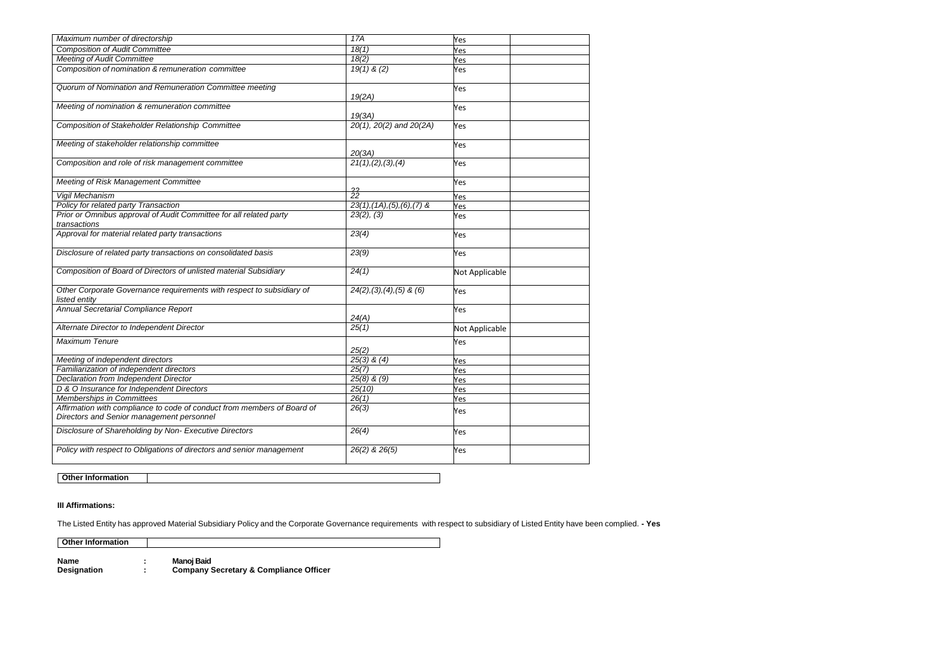| Maximum number of directorship                                                         | 17A                            | Yes            |  |
|----------------------------------------------------------------------------------------|--------------------------------|----------------|--|
| <b>Composition of Audit Committee</b>                                                  | 18(1)                          | Yes            |  |
| <b>Meeting of Audit Committee</b>                                                      | 18(2)                          | Yes            |  |
| Composition of nomination & remuneration committee                                     | $19(1)$ & (2)                  | Yes            |  |
| Quorum of Nomination and Remuneration Committee meeting                                | 19(2A)                         | Yes            |  |
| Meeting of nomination & remuneration committee                                         | 19(3A)                         | Yes            |  |
| Composition of Stakeholder Relationship Committee                                      | 20(1), 20(2) and 20(2A)        | Yes            |  |
| Meeting of stakeholder relationship committee                                          | 20(3A)                         | Yes            |  |
| Composition and role of risk management committee                                      | 21(1), (2), (3), (4)           | Yes            |  |
| Meeting of Risk Management Committee                                                   | າາ                             | Yes            |  |
| Vigil Mechanism                                                                        | 22                             | Yes            |  |
| Policy for related party Transaction                                                   | $23(1), (1A), (5), (6), (7)$ & | Yes            |  |
| Prior or Omnibus approval of Audit Committee for all related party<br>transactions     | 23(2), (3)                     | Yes            |  |
| Approval for material related party transactions                                       | 23(4)                          | Yes            |  |
| Disclosure of related party transactions on consolidated basis                         | 23(9)                          | Yes            |  |
| Composition of Board of Directors of unlisted material Subsidiary                      | 24(1)                          | Not Applicable |  |
| Other Corporate Governance requirements with respect to subsidiary of<br>listed entity | $24(2), (3), (4), (5)$ & $(6)$ | Yes            |  |
| Annual Secretarial Compliance Report                                                   |                                | Yes            |  |
|                                                                                        | 24(A)                          |                |  |
| Alternate Director to Independent Director                                             | 25(1)                          | Not Applicable |  |
| Maximum Tenure                                                                         | 25(2)                          | Yes            |  |
| Meeting of independent directors                                                       | $25(3)$ & $(4)$                | Yes            |  |
| Familiarization of independent directors                                               | 25(7)                          | Yes            |  |
| Declaration from Independent Director                                                  | $25(8)$ & $(9)$                | Yes            |  |
| D & O Insurance for Independent Directors                                              | 25(10)                         | Yes            |  |
| Memberships in Committees                                                              | 26(1)                          | Yes            |  |
| Affirmation with compliance to code of conduct from members of Board of                | 26(3)                          |                |  |
| Directors and Senior management personnel                                              |                                | Yes            |  |
| Disclosure of Shareholding by Non- Executive Directors                                 | 26(4)                          | Yes            |  |
| Policy with respect to Obligations of directors and senior management                  | 26(2) & 26(5)                  | Yes            |  |
| <b>Other Information</b>                                                               |                                |                |  |

## **III Affirmations:**

The Listed Entity has approved Material Subsidiary Policy and the Corporate Governance requirements with respect to subsidiary of Listed Entity have been complied. **- Yes**

**Other Information**

**Name : Manoj Baid**

**Designation : Company Secretary & Compliance Officer**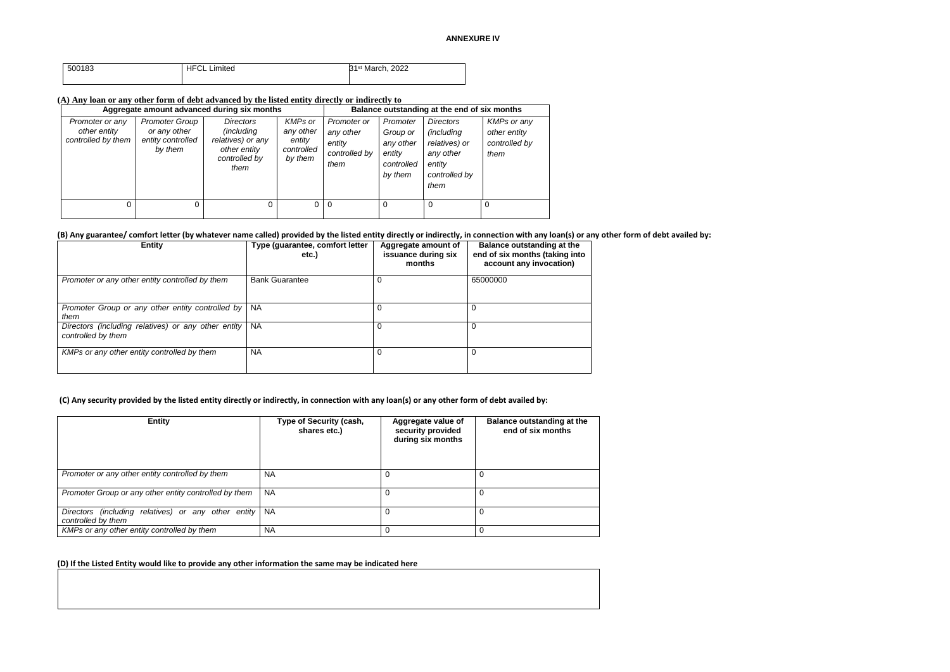| 500183 | <b>HFCL</b><br>Limited | 31 <sup>st</sup> March, 2022 |
|--------|------------------------|------------------------------|
|        |                        |                              |

### **(A) Any loan or any other form of debt advanced by the listed entity directly or indirectly to**

|                                                       |                                                                       | Aggregate amount advanced during six months                                                           |                                                         |                                                             |                                                                      | Balance outstanding at the end of six months                                                           |                                                      |
|-------------------------------------------------------|-----------------------------------------------------------------------|-------------------------------------------------------------------------------------------------------|---------------------------------------------------------|-------------------------------------------------------------|----------------------------------------------------------------------|--------------------------------------------------------------------------------------------------------|------------------------------------------------------|
| Promoter or any<br>other entity<br>controlled by them | <b>Promoter Group</b><br>or any other<br>entity controlled<br>by them | <b>Directors</b><br><i>(including</i> )<br>relatives) or any<br>other entity<br>controlled by<br>them | KMPs or<br>any other<br>entity<br>controlled<br>by them | Promoter or<br>any other<br>entity<br>controlled by<br>them | Promoter<br>Group or<br>any other<br>entity<br>controlled<br>by them | <b>Directors</b><br><i>(including</i><br>relatives) or<br>any other<br>entity<br>controlled by<br>them | KMPs or any<br>other entity<br>controlled by<br>them |
| 0                                                     |                                                                       | 0                                                                                                     | 0                                                       | 0                                                           | $\Omega$                                                             | 0                                                                                                      | 0                                                    |

### **(B) Any guarantee/ comfort letter (by whatever name called) provided by the listed entity directly or indirectly, in connection with any loan(s) or any other form of debt availed by:**

| <b>Entity</b>                                                             | Type (guarantee, comfort letter<br>etc.) | Aggregate amount of<br>issuance during six<br>months | <b>Balance outstanding at the</b><br>end of six months (taking into<br>account any invocation) |
|---------------------------------------------------------------------------|------------------------------------------|------------------------------------------------------|------------------------------------------------------------------------------------------------|
| Promoter or any other entity controlled by them                           | <b>Bank Guarantee</b>                    |                                                      | 65000000                                                                                       |
| Promoter Group or any other entity controlled by<br>them                  | <b>NA</b>                                |                                                      |                                                                                                |
| Directors (including relatives) or any other entity<br>controlled by them | <b>NA</b>                                | 0                                                    |                                                                                                |
| KMPs or any other entity controlled by them                               | <b>NA</b>                                |                                                      |                                                                                                |

### **(C) Any security provided by the listed entity directly or indirectly, in connection with any loan(s) or any other form of debt availed by:**

| <b>Entity</b>                                                                | Type of Security (cash,<br>shares etc.) | Aggregate value of<br>security provided<br>during six months | Balance outstanding at the<br>end of six months |
|------------------------------------------------------------------------------|-----------------------------------------|--------------------------------------------------------------|-------------------------------------------------|
| Promoter or any other entity controlled by them                              | <b>NA</b>                               |                                                              | 0                                               |
| Promoter Group or any other entity controlled by them                        | <b>NA</b>                               | 0                                                            | 0                                               |
| Directors (including relatives) or any other entity NA<br>controlled by them |                                         | 0                                                            | 0                                               |
| KMPs or any other entity controlled by them                                  | <b>NA</b>                               | 0                                                            | 0                                               |

## **(D) If the Listed Entity would like to provide any other information the same may be indicated here**